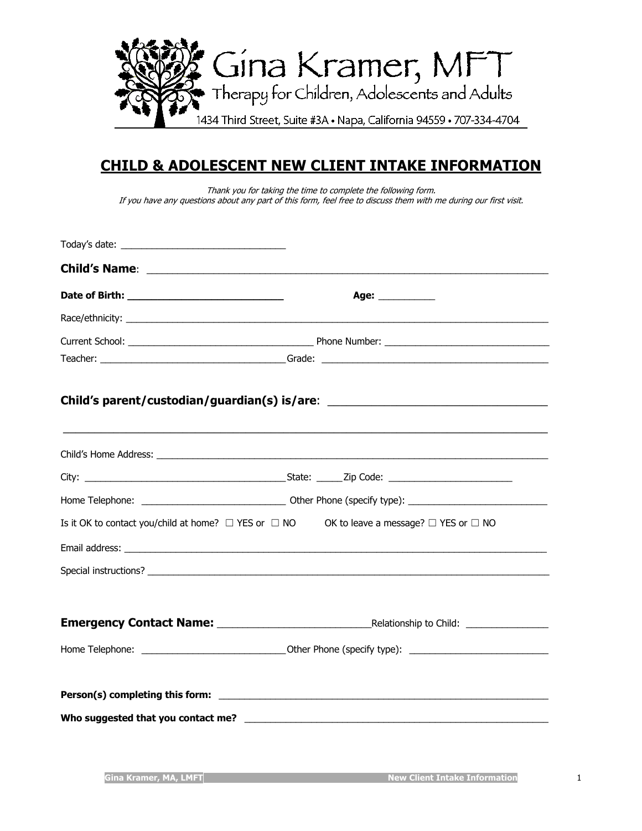

# **CHILD & ADOLESCENT NEW CLIENT INTAKE INFORMATION**

Thank you for taking the time to complete the following form. If you have any questions about any part of this form, feel free to discuss them with me during our first visit.

| Age: ____________                                                                                             |
|---------------------------------------------------------------------------------------------------------------|
|                                                                                                               |
|                                                                                                               |
|                                                                                                               |
| Child's parent/custodian/guardian(s) is/are: ___________________________________                              |
|                                                                                                               |
|                                                                                                               |
|                                                                                                               |
| Is it OK to contact you/child at home? $\Box$ YES or $\Box$ NO OK to leave a message? $\Box$ YES or $\Box$ NO |
|                                                                                                               |
|                                                                                                               |
|                                                                                                               |
|                                                                                                               |
|                                                                                                               |
|                                                                                                               |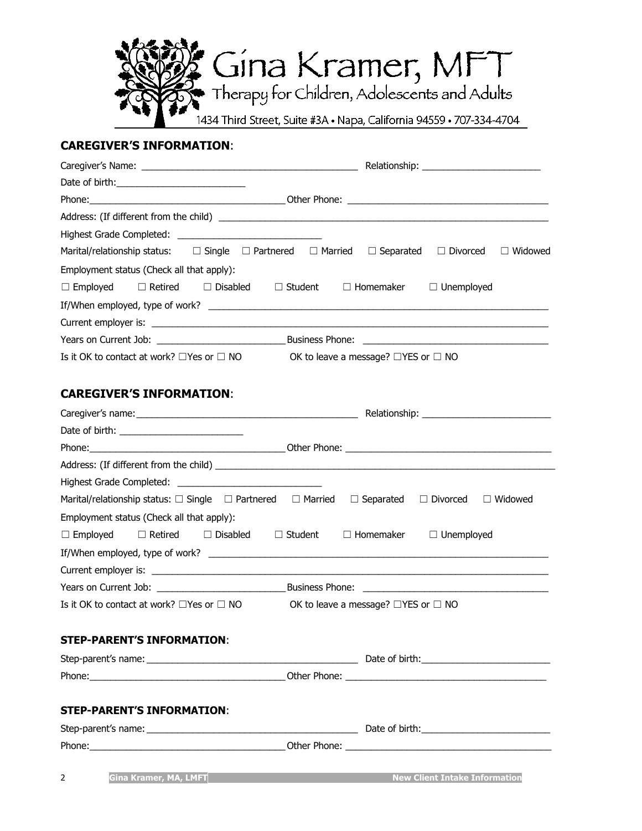

# **CAREGIVER'S INFORMATION**:

|                                                                            | Marital/relationship status: $\square$ Single $\square$ Partnered $\square$ Married $\square$ Separated $\square$ Divorced<br>$\Box$ Widowed |
|----------------------------------------------------------------------------|----------------------------------------------------------------------------------------------------------------------------------------------|
| Employment status (Check all that apply):                                  |                                                                                                                                              |
| $\Box$ Retired $\Box$ Disabled<br>$\Box$ Employed                          | $\Box$ Homemaker<br>$\Box$ Unemployed<br>$\Box$ Student                                                                                      |
|                                                                            |                                                                                                                                              |
|                                                                            |                                                                                                                                              |
|                                                                            |                                                                                                                                              |
|                                                                            | Is it OK to contact at work? $\Box$ Yes or $\Box$ NO OK to leave a message? $\Box$ YES or $\Box$ NO                                          |
| <b>CAREGIVER'S INFORMATION:</b>                                            |                                                                                                                                              |
|                                                                            |                                                                                                                                              |
|                                                                            |                                                                                                                                              |
|                                                                            |                                                                                                                                              |
|                                                                            |                                                                                                                                              |
|                                                                            |                                                                                                                                              |
| Marital/relationship status: $\Box$ Single $\Box$ Partnered $\Box$ Married | $\Box$ Separated<br>$\Box$ Divorced<br>$\Box$ Widowed                                                                                        |
| Employment status (Check all that apply):                                  |                                                                                                                                              |
| $\Box$ Employed $\Box$ Retired<br>$\Box$ Disabled                          | $\Box$ Homemaker<br>$\Box$ Student<br>$\Box$ Unemployed                                                                                      |
|                                                                            |                                                                                                                                              |
|                                                                            |                                                                                                                                              |
|                                                                            |                                                                                                                                              |
| Is it OK to contact at work? $\square$ Yes or $\square$ NO                 | OK to leave a message? $\Box$ YES or $\Box$ NO                                                                                               |
| <b>STEP-PARENT'S INFORMATION:</b>                                          |                                                                                                                                              |
|                                                                            |                                                                                                                                              |
|                                                                            |                                                                                                                                              |
| <b>STEP-PARENT'S INFORMATION:</b>                                          |                                                                                                                                              |
|                                                                            |                                                                                                                                              |
|                                                                            |                                                                                                                                              |
| Gina Kramer, MA, LMFT<br>$\mathbf{2}$                                      | <b>Example 20 New Client Intake Information</b>                                                                                              |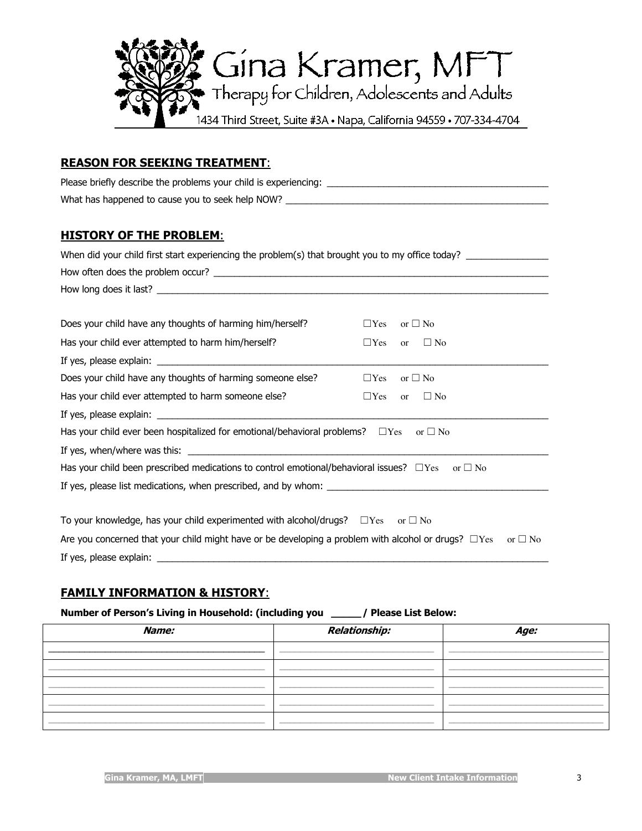

### **REASON FOR SEEKING TREATMENT**:

Please briefly describe the problems your child is experiencing: \_\_\_\_\_\_\_\_\_\_\_\_\_\_\_\_\_\_\_\_\_\_\_\_\_\_\_\_\_\_\_\_\_\_\_\_\_\_\_\_\_\_\_ What has happened to cause you to seek help NOW? \_\_\_\_\_\_\_\_\_\_\_\_\_\_\_\_\_\_\_\_\_\_\_\_\_\_\_\_\_\_\_

### **HISTORY OF THE PROBLEM**:

| When did your child first start experiencing the problem(s) that brought you to my office today?           |                                          |
|------------------------------------------------------------------------------------------------------------|------------------------------------------|
|                                                                                                            |                                          |
|                                                                                                            |                                          |
|                                                                                                            |                                          |
| Does your child have any thoughts of harming him/herself?                                                  | $\Box$ Yes<br>or $\Box$ No               |
| Has your child ever attempted to harm him/herself?                                                         | $\Box$ Yes<br>$\Box$ No<br><sub>or</sub> |
|                                                                                                            |                                          |
| Does your child have any thoughts of harming someone else?                                                 | $\Box$ Yes<br>or $\square$ No            |
| Has your child ever attempted to harm someone else?                                                        | $\Box$ Yes<br>or $\Box$ No               |
|                                                                                                            |                                          |
| Has your child ever been hospitalized for emotional/behavioral problems? $\square$ Yes or $\square$ No     |                                          |
|                                                                                                            |                                          |
| Has your child been prescribed medications to control emotional/behavioral issues? $\Box$ Yes or $\Box$ No |                                          |
|                                                                                                            |                                          |
|                                                                                                            |                                          |
| To your knowledge, has your child experimented with alcohol/drugs? $\square$ Yes or $\square$ No           |                                          |
| Are you concerned that your child might have or be developing a problem with alcohol or drugs? $\Box$ Yes  | or $\Box$ No                             |
|                                                                                                            |                                          |

# **FAMILY INFORMATION & HISTORY**:

#### **Number of Person's Living in Household: (including you \_\_\_\_\_/ Please List Below:**

| Name: | Relationship: | Age: |
|-------|---------------|------|
|       |               |      |
|       |               |      |
|       |               |      |
|       |               |      |
|       |               |      |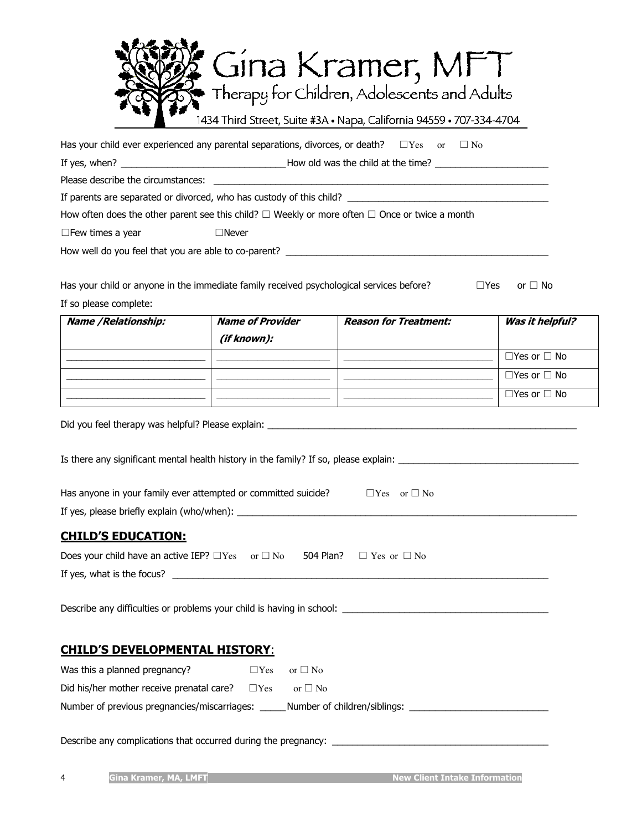| New Gina Kramer, MF<br>Therapy for Children, Adolescents and Adults  |
|----------------------------------------------------------------------|
| 1434 Third Street, Suite #3A · Napa, California 94559 · 707-334-4704 |

| Has your child ever experienced any parental separations, divorces, or death? $\square$ Yes $\hspace{1.5cm}$ or $\square$ No |  |  |  |  |
|------------------------------------------------------------------------------------------------------------------------------|--|--|--|--|
|------------------------------------------------------------------------------------------------------------------------------|--|--|--|--|

If yes, when? \_\_\_\_\_\_\_\_\_\_\_\_\_\_\_\_\_\_\_\_\_\_\_\_\_\_\_\_\_\_\_\_How old was the child at the time? \_\_\_\_\_\_\_\_\_\_\_\_\_\_\_\_\_\_\_\_\_\_

Please describe the circumstances:

If parents are separated or divorced, who has custody of this child? \_\_\_\_\_\_\_\_\_\_\_

How often does the other parent see this child?  $□$  Weekly or more often  $□$  Once or twice a month

☐Few times a year ☐Never

How well do you feel that you are able to co-parent? \_\_\_\_\_\_\_\_\_\_\_\_\_\_\_\_\_\_\_\_\_\_\_\_\_\_\_\_

Has your child or anyone in the immediate family received psychological services before?  $□$ Yes or  $□$  No If so please complete:

| Name / Relationship: | <b>Name of Provider</b><br>(if known): | <b>Reason for Treatment:</b> | Was it helpful?         |
|----------------------|----------------------------------------|------------------------------|-------------------------|
|                      |                                        |                              | $\Box$ Yes or $\Box$ No |
|                      |                                        |                              | $\Box$ Yes or $\Box$ No |
|                      |                                        |                              | $\Box$ Yes or $\Box$ No |

Did you feel therapy was helpful? Please explain:  $\Box$ 

Is there any significant mental health history in the family? If so, please explain:

| Has anyone in your family ever attempted or committed suicide? | $\Box$ Yes or $\Box$ No |
|----------------------------------------------------------------|-------------------------|
| If yes, please briefly explain (who/when):                     |                         |

### **CHILD'S EDUCATION:**

| Does your child have an active IEP? $\square$ Yes or $\square$ No 504 Plan? $\square$ Yes or $\square$ No |  |  |
|-----------------------------------------------------------------------------------------------------------|--|--|
| If yes, what is the focus?                                                                                |  |  |

Describe any difficulties or problems your child is having in school:

### **CHILD'S DEVELOPMENTAL HISTORY**:

| Was this a planned pregnancy?                | $\Box$ Yes | or $\Box$ No                 |
|----------------------------------------------|------------|------------------------------|
| Did his/her mother receive prenatal care?    | $\Box$ Yes | or $\Box$ No                 |
| Number of previous pregnancies/miscarriages: |            | Number of children/siblings: |

Describe any complications that occurred during the pregnancy: \_\_\_\_\_\_\_\_\_\_\_\_\_\_\_\_\_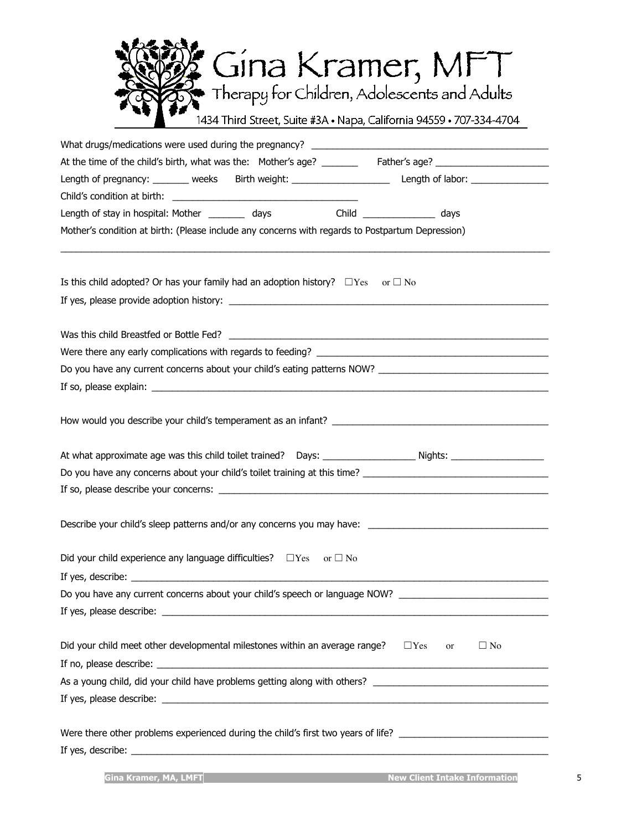| <b>New Gina Kramer, MFT</b><br>Therapy for Children, Adolescents and Adults |  |
|-----------------------------------------------------------------------------|--|
| 1434 Third Street, Suite #3A · Napa, California 94559 · 707-334-4704        |  |

| At the time of the child's birth, what was the: Mother's age? ________ Father's age? _________________________                                           |
|----------------------------------------------------------------------------------------------------------------------------------------------------------|
| Length of pregnancy: ________ weeks Birth weight: _______________________________ Length of labor: ___________                                           |
|                                                                                                                                                          |
| Length of stay in hospital: Mother ___________ days       Child ________________ days                                                                    |
| Mother's condition at birth: (Please include any concerns with regards to Postpartum Depression)                                                         |
|                                                                                                                                                          |
| Is this child adopted? Or has your family had an adoption history? $\square$ Yes or $\square$ No                                                         |
|                                                                                                                                                          |
|                                                                                                                                                          |
|                                                                                                                                                          |
| Were there any early complications with regards to feeding?                                                                                              |
|                                                                                                                                                          |
|                                                                                                                                                          |
|                                                                                                                                                          |
|                                                                                                                                                          |
| Do you have any concerns about your child's toilet training at this time? [10] Do you have any concerns about your child's toilet training at this time? |
|                                                                                                                                                          |
|                                                                                                                                                          |
| Did your child experience any language difficulties? $\Box$ Yes or $\Box$ No                                                                             |
| If yes, describe:                                                                                                                                        |
| Do you have any current concerns about your child's speech or language NOW? __________________________________                                           |
|                                                                                                                                                          |
|                                                                                                                                                          |
| Did your child meet other developmental milestones within an average range? $\square$ Yes<br>$\Box$ No<br>or                                             |
|                                                                                                                                                          |
|                                                                                                                                                          |
|                                                                                                                                                          |
| Were there other problems experienced during the child's first two years of life? ____________________________                                           |
|                                                                                                                                                          |
|                                                                                                                                                          |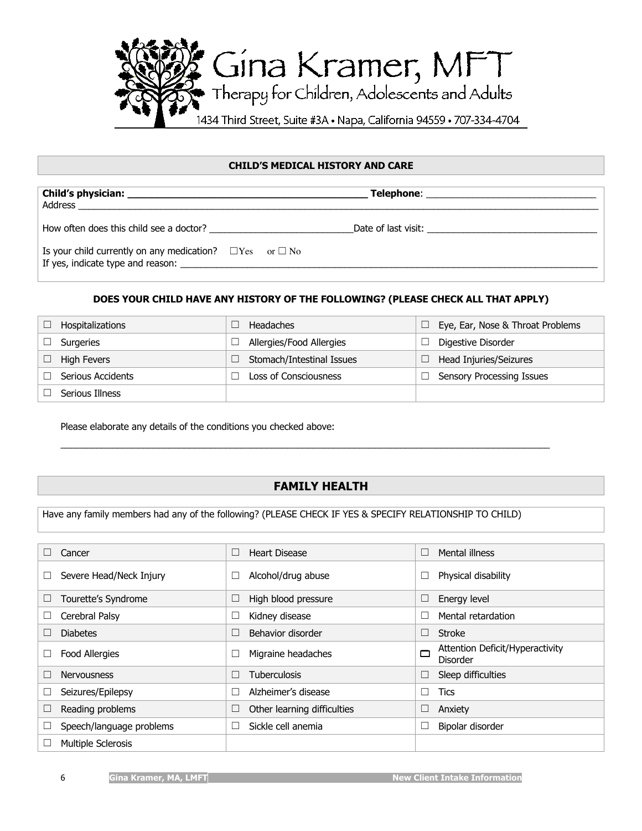

#### **CHILD'S MEDICAL HISTORY AND CARE**

| How often does this child see a doctor?                            |  |
|--------------------------------------------------------------------|--|
| Is your child currently on any medication? $\Box$ Yes or $\Box$ No |  |

#### **DOES YOUR CHILD HAVE ANY HISTORY OF THE FOLLOWING? (PLEASE CHECK ALL THAT APPLY)**

| Hospitalizations  | Headaches                 | Eye, Ear, Nose & Throat Problems |
|-------------------|---------------------------|----------------------------------|
| Surgeries         | Allergies/Food Allergies  | Digestive Disorder               |
| High Fevers       | Stomach/Intestinal Issues | Head Injuries/Seizures           |
| Serious Accidents | Loss of Consciousness     | <b>Sensory Processing Issues</b> |
| Serious Illness   |                           |                                  |

Please elaborate any details of the conditions you checked above:

#### **FAMILY HEALTH**

\_\_\_\_\_\_\_\_\_\_\_\_\_\_\_\_\_\_\_\_\_\_\_\_\_\_\_\_\_\_\_\_\_\_\_\_\_\_\_\_\_\_\_\_\_\_\_\_\_\_\_\_\_\_\_\_\_\_\_\_\_\_\_\_\_\_\_\_\_\_\_\_\_\_\_\_\_\_\_\_\_\_\_\_\_\_\_\_\_\_\_\_\_\_\_

Have any family members had any of the following? (PLEASE CHECK IF YES & SPECIFY RELATIONSHIP TO CHILD)

| Cancer                    | <b>Heart Disease</b><br>$\Box$ | Mental illness<br>□                              |
|---------------------------|--------------------------------|--------------------------------------------------|
| Severe Head/Neck Injury   | Alcohol/drug abuse             | Physical disability                              |
| Tourette's Syndrome       | High blood pressure<br>$\Box$  | Energy level<br>$\Box$                           |
| Cerebral Palsy<br>⊔       | Kidney disease                 | Mental retardation                               |
| <b>Diabetes</b>           | Behavior disorder              | Stroke<br>□                                      |
| <b>Food Allergies</b>     | Migraine headaches             | Attention Deficit/Hyperactivity<br>□<br>Disorder |
| <b>Nervousness</b>        | Tuberculosis                   | Sleep difficulties<br>$\Box$                     |
| Seizures/Epilepsy         | Alzheimer's disease            | <b>Tics</b>                                      |
| Reading problems          | Other learning difficulties    | Anxiety                                          |
| Speech/language problems  | Sickle cell anemia             | Bipolar disorder                                 |
| <b>Multiple Sclerosis</b> |                                |                                                  |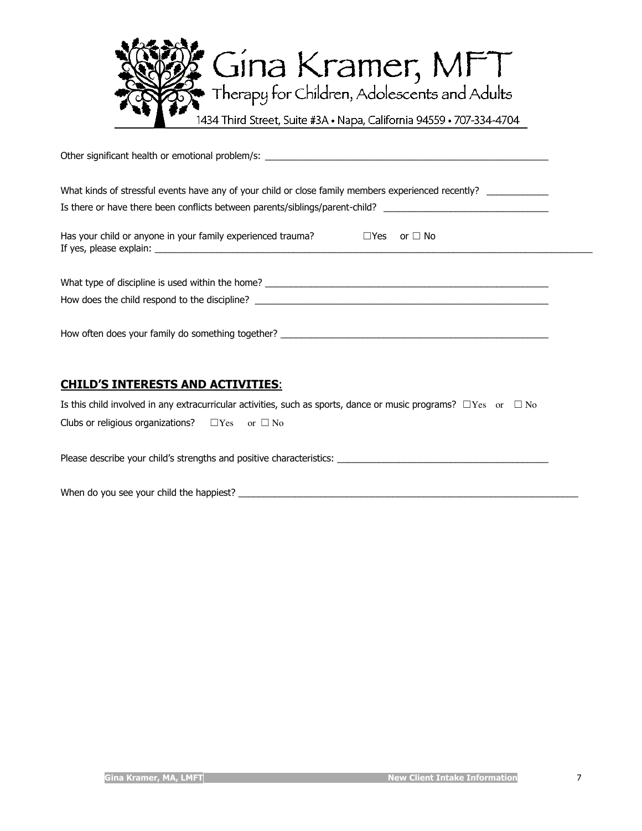

| What kinds of stressful events have any of your child or close family members experienced recently? |  |  |  |  |
|-----------------------------------------------------------------------------------------------------|--|--|--|--|
| Has your child or anyone in your family experienced trauma? $\square$ Yes<br>or $\Box$ No           |  |  |  |  |
|                                                                                                     |  |  |  |  |
| How often does your family do something together? ______________________________                    |  |  |  |  |
| CUTI D'E TNITEDECTE AND ACTIVITTEC.                                                                 |  |  |  |  |

# **CHILD'S INTERESTS AND ACTIVITIES**:

Is this child involved in any extracurricular activities, such as sports, dance or music programs?  $\Box$ Yes or  $\Box$  No

| Clubs or religious organizations? |  | $\Box$ Yes or $\Box$ No |
|-----------------------------------|--|-------------------------|
|-----------------------------------|--|-------------------------|

Please describe your child's strengths and positive characteristics: \_\_\_\_\_\_\_\_\_\_\_\_\_\_\_\_\_\_\_\_\_\_\_\_\_\_\_\_\_\_\_\_\_\_\_\_\_\_\_\_\_

When do you see your child the happiest? \_\_\_\_\_\_\_\_\_\_\_\_\_\_\_\_\_\_\_\_\_\_\_\_\_\_\_\_\_\_\_\_\_\_\_\_\_\_\_\_\_\_\_\_\_\_\_\_\_\_\_\_\_\_\_\_\_\_\_\_\_\_\_\_\_\_